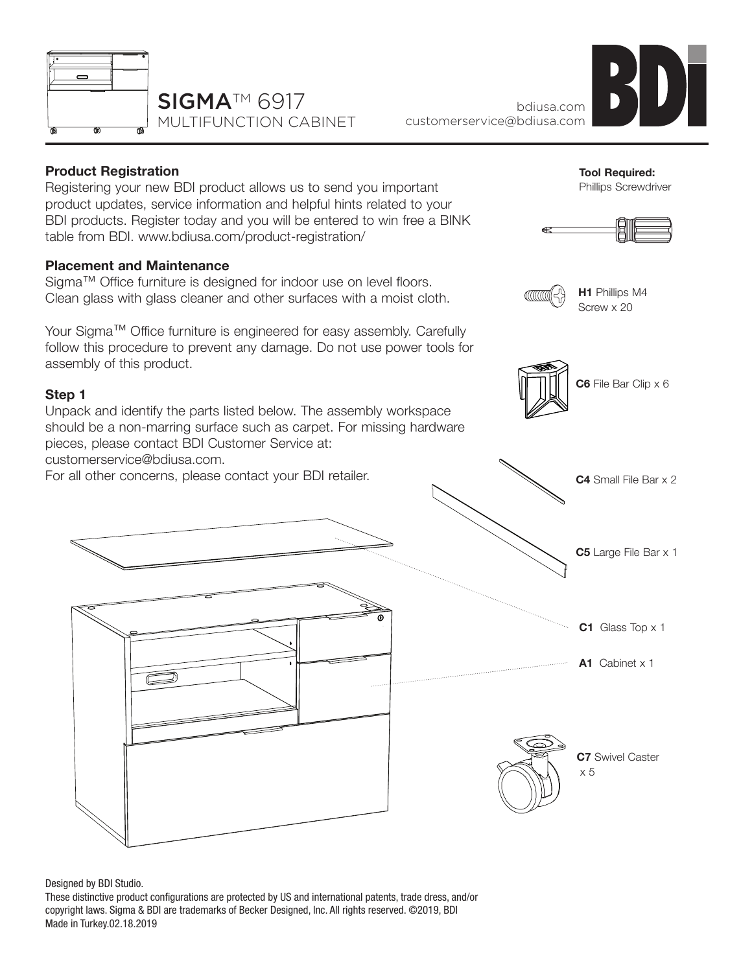



# **Product Registration**

Registering your new BDI product allows us to send you important product updates, service information and helpful hints related to your BDI products. Register today and you will be entered to win free a BINK table from BDI. www.bdiusa.com/product-registration/

### **Placement and Maintenance**

Sigma™ Office furniture is designed for indoor use on level floors. Clean glass with glass cleaner and other surfaces with a moist cloth.

Your Sigma™ Office furniture is engineered for easy assembly. Carefully follow this procedure to prevent any damage. Do not use power tools for assembly of this product.

## **Step 1**

Unpack and identify the parts listed below. The assembly workspace should be a non-marring surface such as carpet. For missing hardware pieces, please contact BDI Customer Service at:

customerservice@bdiusa.com.

For all other concerns, please contact your BDI retailer.



Designed by BDI Studio.

These distinctive product configurations are protected by US and international patents, trade dress, and/or copyright laws. Sigma & BDI are trademarks of Becker Designed, Inc. All rights reserved. ©2019, BDI Made in Turkey.02.18.2019







**H1** Phillips M4 Screw x 20

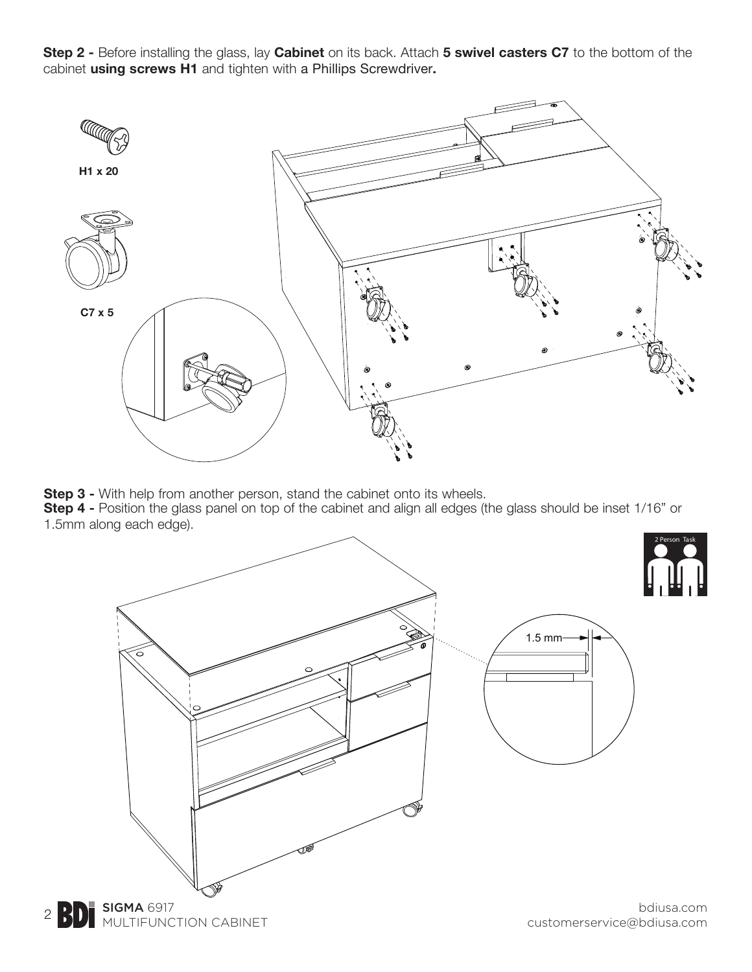**Step 2 -** Before installing the glass, lay **Cabinet** on its back. Attach **5 swivel casters C7** to the bottom of the cabinet **using screws H1** and tighten with a Phillips Screwdriver**.**



**Step 3 -** With help from another person, stand the cabinet onto its wheels. **Step 4 -** Position the glass panel on top of the cabinet and align all edges (the glass should be inset 1/16" or 1.5mm along each edge).



**BD** NULTIFUNCTION CABINET

customerservice@bdiusa.com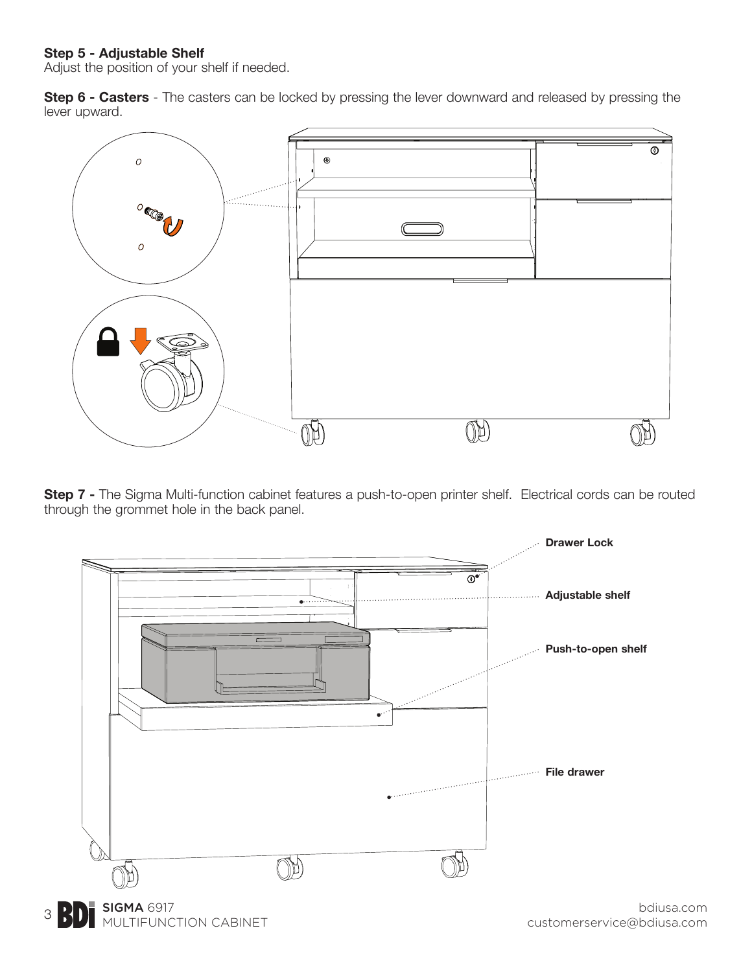#### **Step 5 - Adjustable Shelf**

Adjust the position of your shelf if needed.

**Step 6 - Casters** - The casters can be locked by pressing the lever downward and released by pressing the lever upward.



**Step 7 -** The Sigma Multi-function cabinet features a push-to-open printer shelf. Electrical cords can be routed through the grommet hole in the back panel.



bdiusa.com customerservice@bdiusa.com